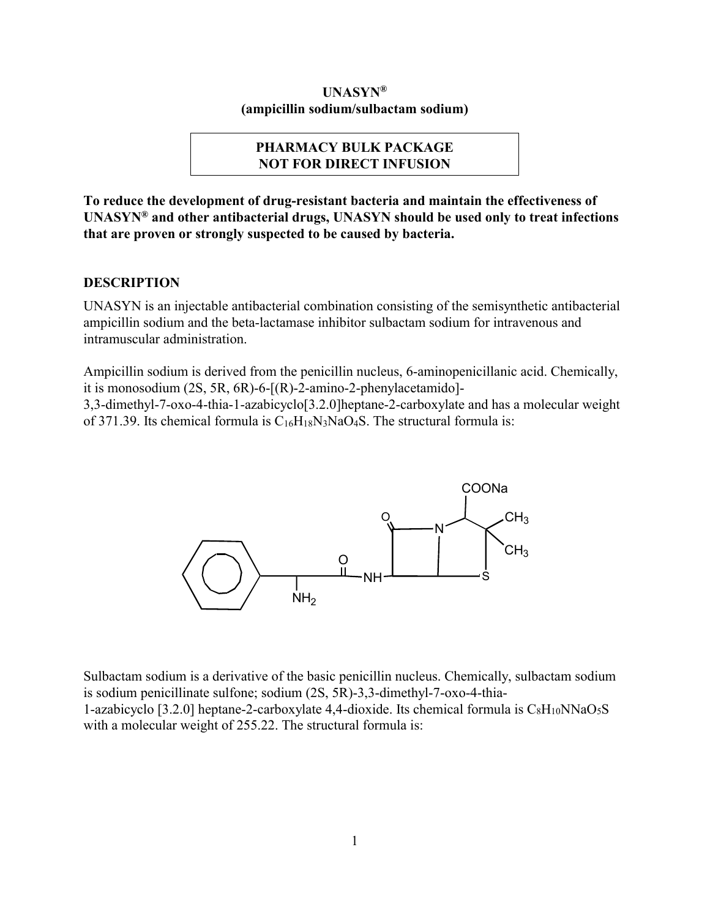# **UNASYN® (ampicillin sodium/sulbactam sodium)**

# **PHARMACY BULK PACKAGE NOT FOR DIRECT INFUSION**

**To reduce the development of drug-resistant bacteria and maintain the effectiveness of UNASYN® and other antibacterial drugs, UNASYN should be used only to treat infections that are proven or strongly suspected to be caused by bacteria.**

## **DESCRIPTION**

UNASYN is an injectable antibacterial combination consisting of the semisynthetic antibacterial ampicillin sodium and the beta-lactamase inhibitor sulbactam sodium for intravenous and intramuscular administration.

Ampicillin sodium is derived from the penicillin nucleus, 6-aminopenicillanic acid. Chemically, it is monosodium (2S, 5R, 6R)-6-[(R)-2-amino-2-phenylacetamido]-

3,3-dimethyl-7-oxo-4-thia-1-azabicyclo[3.2.0]heptane-2-carboxylate and has a molecular weight of 371.39. Its chemical formula is  $C_{16}H_{18}N_3NaO_4S$ . The structural formula is:



Sulbactam sodium is a derivative of the basic penicillin nucleus. Chemically, sulbactam sodium is sodium penicillinate sulfone; sodium (2S, 5R)-3,3-dimethyl-7-oxo-4-thia-1-azabicyclo [3.2.0] heptane-2-carboxylate 4,4-dioxide. Its chemical formula is  $C_8H_{10}NNaO_5S$ with a molecular weight of 255.22. The structural formula is: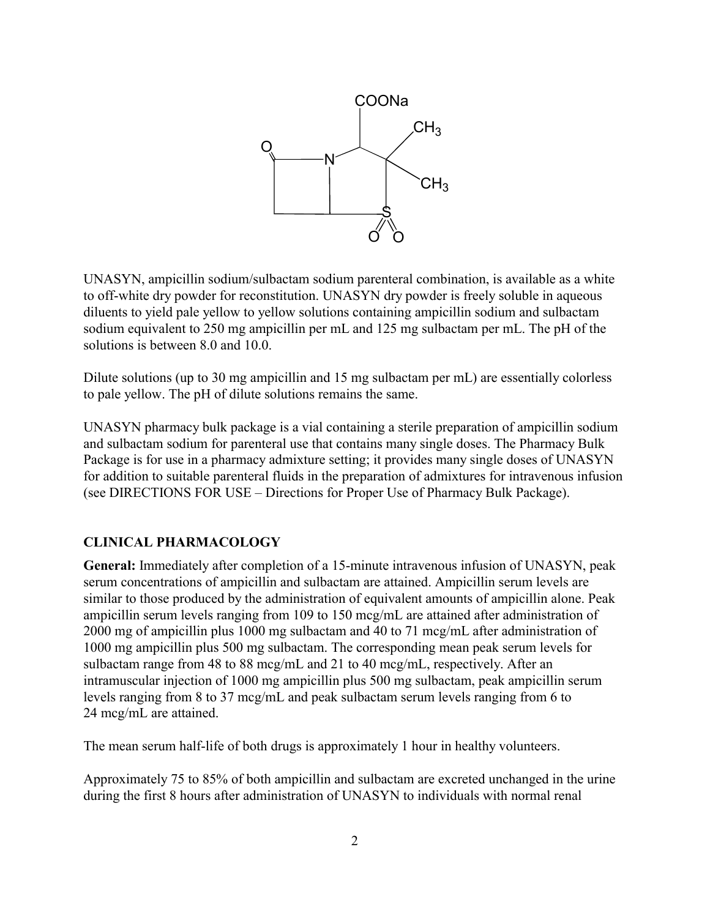

UNASYN, ampicillin sodium/sulbactam sodium parenteral combination, is available as a white to off-white dry powder for reconstitution. UNASYN dry powder is freely soluble in aqueous diluents to yield pale yellow to yellow solutions containing ampicillin sodium and sulbactam sodium equivalent to 250 mg ampicillin per mL and 125 mg sulbactam per mL. The pH of the solutions is between 8.0 and 10.0.

Dilute solutions (up to 30 mg ampicillin and 15 mg sulbactam per mL) are essentially colorless to pale yellow. The pH of dilute solutions remains the same.

UNASYN pharmacy bulk package is a vial containing a sterile preparation of ampicillin sodium and sulbactam sodium for parenteral use that contains many single doses. The Pharmacy Bulk Package is for use in a pharmacy admixture setting; it provides many single doses of UNASYN for addition to suitable parenteral fluids in the preparation of admixtures for intravenous infusion (see DIRECTIONS FOR USE – Directions for Proper Use of Pharmacy Bulk Package).

# **CLINICAL PHARMACOLOGY**

**General:** Immediately after completion of a 15-minute intravenous infusion of UNASYN, peak serum concentrations of ampicillin and sulbactam are attained. Ampicillin serum levels are similar to those produced by the administration of equivalent amounts of ampicillin alone. Peak ampicillin serum levels ranging from 109 to 150 mcg/mL are attained after administration of 2000 mg of ampicillin plus 1000 mg sulbactam and 40 to 71 mcg/mL after administration of 1000 mg ampicillin plus 500 mg sulbactam. The corresponding mean peak serum levels for sulbactam range from 48 to 88 mcg/mL and 21 to 40 mcg/mL, respectively. After an intramuscular injection of 1000 mg ampicillin plus 500 mg sulbactam, peak ampicillin serum levels ranging from 8 to 37 mcg/mL and peak sulbactam serum levels ranging from 6 to 24 mcg/mL are attained.

The mean serum half-life of both drugs is approximately 1 hour in healthy volunteers.

Approximately 75 to 85% of both ampicillin and sulbactam are excreted unchanged in the urine during the first 8 hours after administration of UNASYN to individuals with normal renal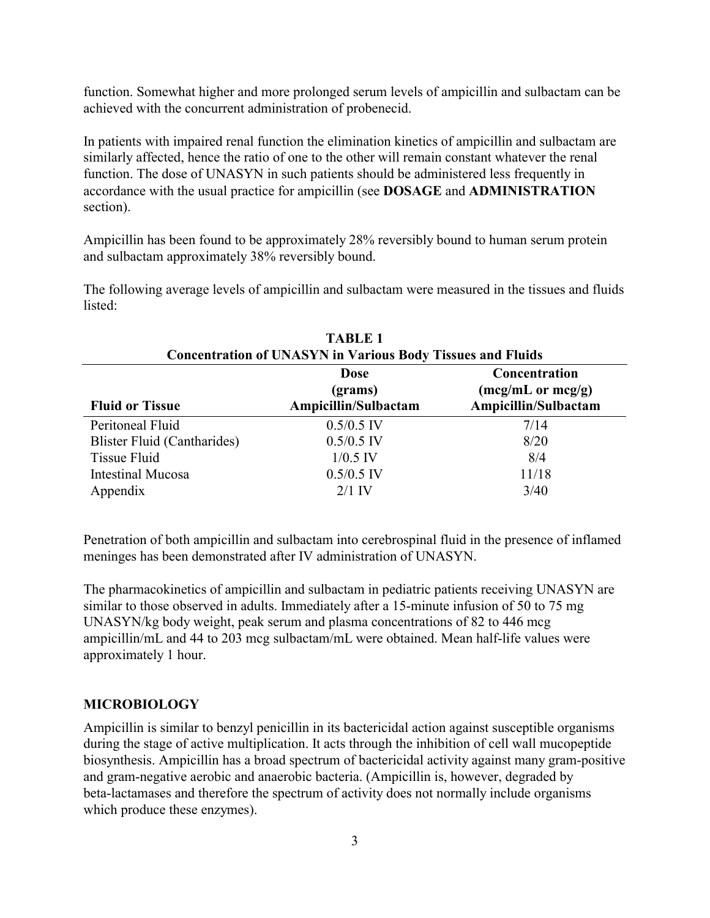function. Somewhat higher and more prolonged serum levels of ampicillin and sulbactam can be achieved with the concurrent administration of probenecid.

In patients with impaired renal function the elimination kinetics of ampicillin and sulbactam are similarly affected, hence the ratio of one to the other will remain constant whatever the renal function. The dose of UNASYN in such patients should be administered less frequently in accordance with the usual practice for ampicillin (see **DOSAGE** and **ADMINISTRATION** section).

Ampicillin has been found to be approximately 28% reversibly bound to human serum protein and sulbactam approximately 38% reversibly bound.

The following average levels of ampicillin and sulbactam were measured in the tissues and fluids listed:

| TADLE I<br><b>Concentration of UNASYN in Various Body Tissues and Fluids</b> |                                         |                                                                       |
|------------------------------------------------------------------------------|-----------------------------------------|-----------------------------------------------------------------------|
| <b>Fluid or Tissue</b>                                                       | Dose<br>(grams)<br>Ampicillin/Sulbactam | Concentration<br>$(mcg/mL \text{ or } mcg/g)$<br>Ampicillin/Sulbactam |
| Peritoneal Fluid                                                             | $0.5/0.5$ IV                            | 7/14                                                                  |
| Blister Fluid (Cantharides)                                                  | $0.5/0.5$ IV                            | 8/20                                                                  |
| Tissue Fluid                                                                 | $1/0.5$ IV                              | 8/4                                                                   |
| Intestinal Mucosa                                                            | $0.5/0.5$ IV                            | 11/18                                                                 |
| Appendix                                                                     | $2/1$ IV                                | 3/40                                                                  |

# **TABLE 1**

Penetration of both ampicillin and sulbactam into cerebrospinal fluid in the presence of inflamed meninges has been demonstrated after IV administration of UNASYN.

The pharmacokinetics of ampicillin and sulbactam in pediatric patients receiving UNASYN are similar to those observed in adults. Immediately after a 15-minute infusion of 50 to 75 mg UNASYN/kg body weight, peak serum and plasma concentrations of 82 to 446 mcg ampicillin/mL and 44 to 203 mcg sulbactam/mL were obtained. Mean half-life values were approximately 1 hour.

## **MICROBIOLOGY**

Ampicillin is similar to benzyl penicillin in its bactericidal action against susceptible organisms during the stage of active multiplication. It acts through the inhibition of cell wall mucopeptide biosynthesis. Ampicillin has a broad spectrum of bactericidal activity against many gram-positive and gram-negative aerobic and anaerobic bacteria. (Ampicillin is, however, degraded by beta-lactamases and therefore the spectrum of activity does not normally include organisms which produce these enzymes).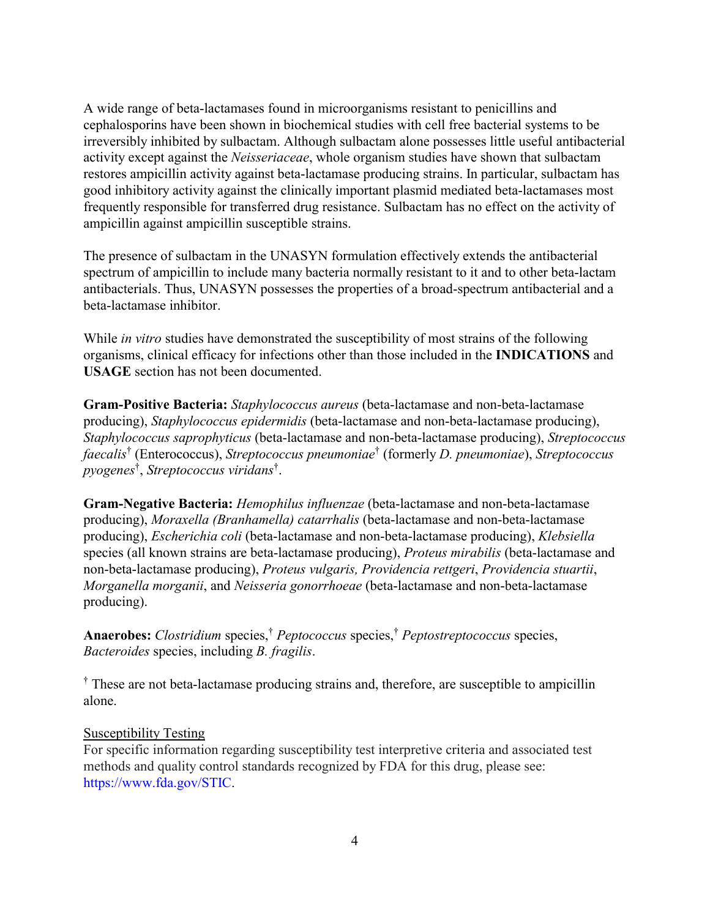A wide range of beta-lactamases found in microorganisms resistant to penicillins and cephalosporins have been shown in biochemical studies with cell free bacterial systems to be irreversibly inhibited by sulbactam. Although sulbactam alone possesses little useful antibacterial activity except against the *Neisseriaceae*, whole organism studies have shown that sulbactam restores ampicillin activity against beta-lactamase producing strains. In particular, sulbactam has good inhibitory activity against the clinically important plasmid mediated beta-lactamases most frequently responsible for transferred drug resistance. Sulbactam has no effect on the activity of ampicillin against ampicillin susceptible strains.

The presence of sulbactam in the UNASYN formulation effectively extends the antibacterial spectrum of ampicillin to include many bacteria normally resistant to it and to other beta-lactam antibacterials. Thus, UNASYN possesses the properties of a broad-spectrum antibacterial and a beta-lactamase inhibitor.

While *in vitro* studies have demonstrated the susceptibility of most strains of the following organisms, clinical efficacy for infections other than those included in the **INDICATIONS** and **USAGE** section has not been documented.

**Gram-Positive Bacteria:** *Staphylococcus aureus* (beta-lactamase and non-beta-lactamase producing), *Staphylococcus epidermidis* (beta-lactamase and non-beta-lactamase producing), *Staphylococcus saprophyticus* (beta-lactamase and non-beta-lactamase producing), *Streptococcus faecalis*† (Enterococcus), *Streptococcus pneumoniae*† (formerly *D. pneumoniae*), *Streptococcus pyogenes*† , *Streptococcus viridans*† .

**Gram-Negative Bacteria:** *Hemophilus influenzae* (beta-lactamase and non-beta-lactamase producing), *Moraxella (Branhamella) catarrhalis* (beta-lactamase and non-beta-lactamase producing), *Escherichia coli* (beta-lactamase and non-beta-lactamase producing), *Klebsiella* species (all known strains are beta-lactamase producing), *Proteus mirabilis* (beta-lactamase and non-beta-lactamase producing), *Proteus vulgaris, Providencia rettgeri*, *Providencia stuartii*, *Morganella morganii*, and *Neisseria gonorrhoeae* (beta-lactamase and non-beta-lactamase producing).

**Anaerobes:** *Clostridium* species, † *Peptococcus* species, † *Peptostreptococcus* species, *Bacteroides* species, including *B. fragilis*.

 $\dagger$  These are not beta-lactamase producing strains and, therefore, are susceptible to ampicillin alone.

## Susceptibility Testing

For specific information regarding susceptibility test interpretive criteria and associated test methods and quality control standards recognized by FDA for this drug, please see: [https://www.fda.gov/STIC.](https://www.fda.gov/STIC)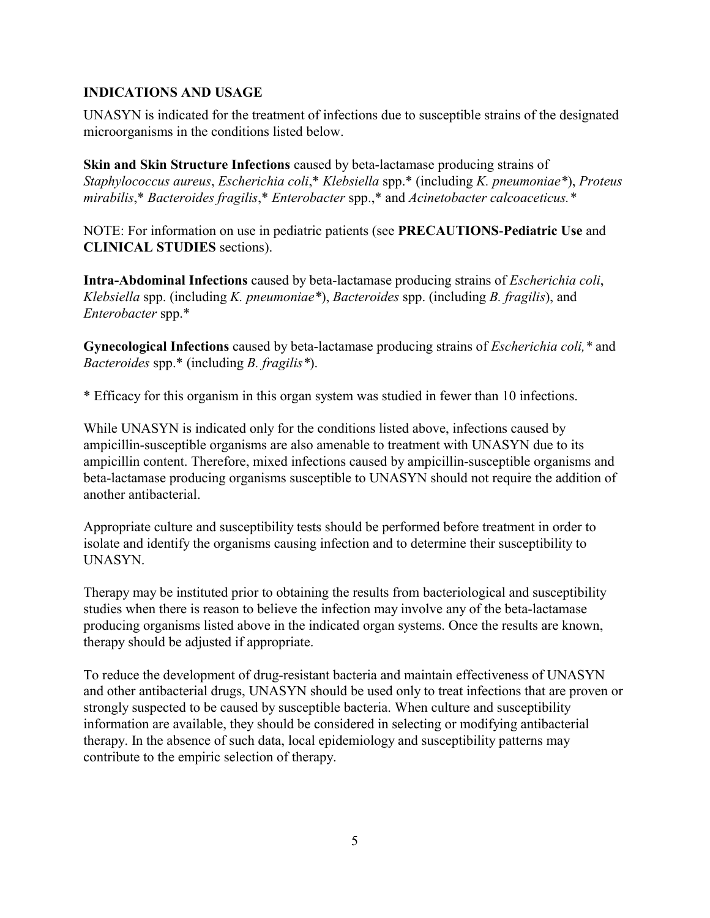# **INDICATIONS AND USAGE**

UNASYN is indicated for the treatment of infections due to susceptible strains of the designated microorganisms in the conditions listed below.

**Skin and Skin Structure Infections** caused by beta-lactamase producing strains of *Staphylococcus aureus*, *Escherichia coli*,\* *Klebsiella* spp.\* (including *K. pneumoniae\**), *Proteus mirabilis*,\* *Bacteroides fragilis*,\* *Enterobacter* spp.,\* and *Acinetobacter calcoaceticus.\**

NOTE: For information on use in pediatric patients (see **PRECAUTIONS**-**Pediatric Use** and **CLINICAL STUDIES** sections).

**Intra-Abdominal Infections** caused by beta-lactamase producing strains of *Escherichia coli*, *Klebsiella* spp. (including *K. pneumoniae\**), *Bacteroides* spp. (including *B. fragilis*), and *Enterobacter* spp.\*

**Gynecological Infections** caused by beta-lactamase producing strains of *Escherichia coli,\** and *Bacteroides* spp.\* (including *B. fragilis\**).

\* Efficacy for this organism in this organ system was studied in fewer than 10 infections.

While UNASYN is indicated only for the conditions listed above, infections caused by ampicillin-susceptible organisms are also amenable to treatment with UNASYN due to its ampicillin content. Therefore, mixed infections caused by ampicillin-susceptible organisms and beta-lactamase producing organisms susceptible to UNASYN should not require the addition of another antibacterial.

Appropriate culture and susceptibility tests should be performed before treatment in order to isolate and identify the organisms causing infection and to determine their susceptibility to UNASYN.

Therapy may be instituted prior to obtaining the results from bacteriological and susceptibility studies when there is reason to believe the infection may involve any of the beta-lactamase producing organisms listed above in the indicated organ systems. Once the results are known, therapy should be adjusted if appropriate.

To reduce the development of drug-resistant bacteria and maintain effectiveness of UNASYN and other antibacterial drugs, UNASYN should be used only to treat infections that are proven or strongly suspected to be caused by susceptible bacteria. When culture and susceptibility information are available, they should be considered in selecting or modifying antibacterial therapy. In the absence of such data, local epidemiology and susceptibility patterns may contribute to the empiric selection of therapy.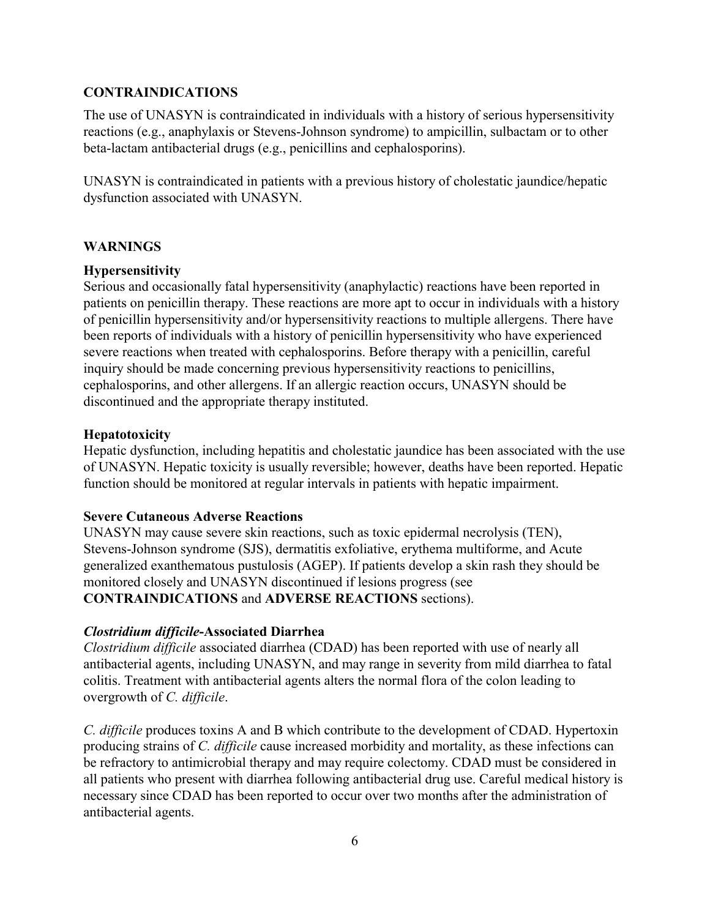## **CONTRAINDICATIONS**

The use of UNASYN is contraindicated in individuals with a history of serious hypersensitivity reactions (e.g., anaphylaxis or Stevens-Johnson syndrome) to ampicillin, sulbactam or to other beta-lactam antibacterial drugs (e.g., penicillins and cephalosporins).

UNASYN is contraindicated in patients with a previous history of cholestatic jaundice/hepatic dysfunction associated with UNASYN.

## **WARNINGS**

## **Hypersensitivity**

Serious and occasionally fatal hypersensitivity (anaphylactic) reactions have been reported in patients on penicillin therapy. These reactions are more apt to occur in individuals with a history of penicillin hypersensitivity and/or hypersensitivity reactions to multiple allergens. There have been reports of individuals with a history of penicillin hypersensitivity who have experienced severe reactions when treated with cephalosporins. Before therapy with a penicillin, careful inquiry should be made concerning previous hypersensitivity reactions to penicillins, cephalosporins, and other allergens. If an allergic reaction occurs, UNASYN should be discontinued and the appropriate therapy instituted.

## **Hepatotoxicity**

Hepatic dysfunction, including hepatitis and cholestatic jaundice has been associated with the use of UNASYN. Hepatic toxicity is usually reversible; however, deaths have been reported. Hepatic function should be monitored at regular intervals in patients with hepatic impairment.

## **Severe Cutaneous Adverse Reactions**

UNASYN may cause severe skin reactions, such as toxic epidermal necrolysis (TEN), Stevens-Johnson syndrome (SJS), dermatitis exfoliative, erythema multiforme, and Acute generalized exanthematous pustulosis (AGEP). If patients develop a skin rash they should be monitored closely and UNASYN discontinued if lesions progress (see **CONTRAINDICATIONS** and **ADVERSE REACTIONS** sections).

# *Clostridium difficile***-Associated Diarrhea**

*Clostridium difficile* associated diarrhea (CDAD) has been reported with use of nearly all antibacterial agents, including UNASYN, and may range in severity from mild diarrhea to fatal colitis. Treatment with antibacterial agents alters the normal flora of the colon leading to overgrowth of *C. difficile*.

*C. difficile* produces toxins A and B which contribute to the development of CDAD. Hypertoxin producing strains of *C. difficile* cause increased morbidity and mortality, as these infections can be refractory to antimicrobial therapy and may require colectomy. CDAD must be considered in all patients who present with diarrhea following antibacterial drug use. Careful medical history is necessary since CDAD has been reported to occur over two months after the administration of antibacterial agents.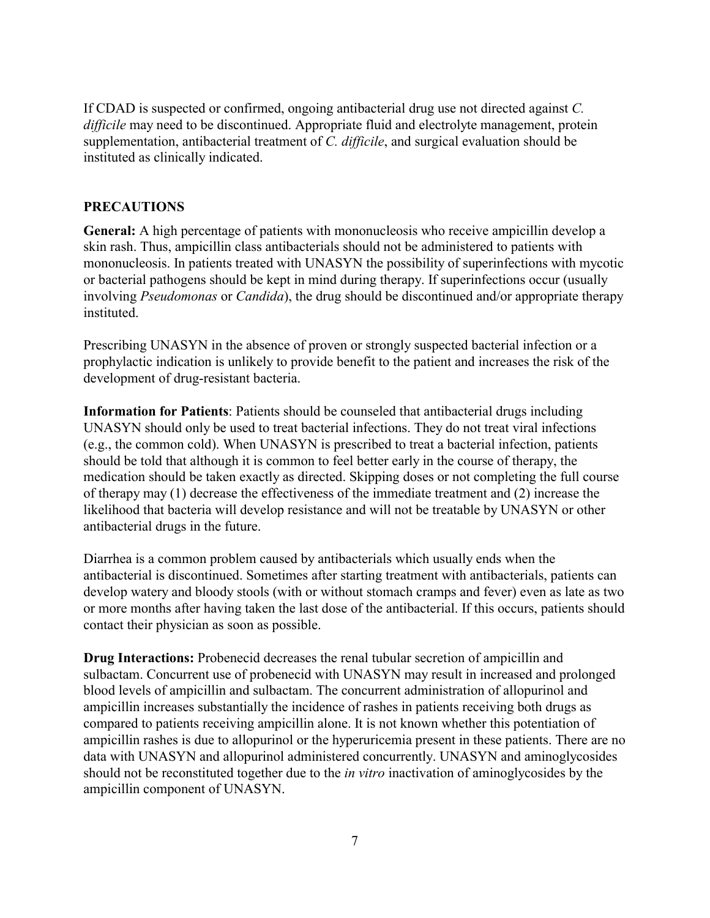If CDAD is suspected or confirmed, ongoing antibacterial drug use not directed against *C. difficile* may need to be discontinued. Appropriate fluid and electrolyte management, protein supplementation, antibacterial treatment of *C. difficile*, and surgical evaluation should be instituted as clinically indicated.

## **PRECAUTIONS**

**General:** A high percentage of patients with mononucleosis who receive ampicillin develop a skin rash. Thus, ampicillin class antibacterials should not be administered to patients with mononucleosis. In patients treated with UNASYN the possibility of superinfections with mycotic or bacterial pathogens should be kept in mind during therapy. If superinfections occur (usually involving *Pseudomonas* or *Candida*), the drug should be discontinued and/or appropriate therapy instituted.

Prescribing UNASYN in the absence of proven or strongly suspected bacterial infection or a prophylactic indication is unlikely to provide benefit to the patient and increases the risk of the development of drug-resistant bacteria.

**Information for Patients**: Patients should be counseled that antibacterial drugs including UNASYN should only be used to treat bacterial infections. They do not treat viral infections (e.g., the common cold). When UNASYN is prescribed to treat a bacterial infection, patients should be told that although it is common to feel better early in the course of therapy, the medication should be taken exactly as directed. Skipping doses or not completing the full course of therapy may (1) decrease the effectiveness of the immediate treatment and (2) increase the likelihood that bacteria will develop resistance and will not be treatable by UNASYN or other antibacterial drugs in the future.

Diarrhea is a common problem caused by antibacterials which usually ends when the antibacterial is discontinued. Sometimes after starting treatment with antibacterials, patients can develop watery and bloody stools (with or without stomach cramps and fever) even as late as two or more months after having taken the last dose of the antibacterial. If this occurs, patients should contact their physician as soon as possible.

**Drug Interactions:** Probenecid decreases the renal tubular secretion of ampicillin and sulbactam. Concurrent use of probenecid with UNASYN may result in increased and prolonged blood levels of ampicillin and sulbactam. The concurrent administration of allopurinol and ampicillin increases substantially the incidence of rashes in patients receiving both drugs as compared to patients receiving ampicillin alone. It is not known whether this potentiation of ampicillin rashes is due to allopurinol or the hyperuricemia present in these patients. There are no data with UNASYN and allopurinol administered concurrently. UNASYN and aminoglycosides should not be reconstituted together due to the *in vitro* inactivation of aminoglycosides by the ampicillin component of UNASYN.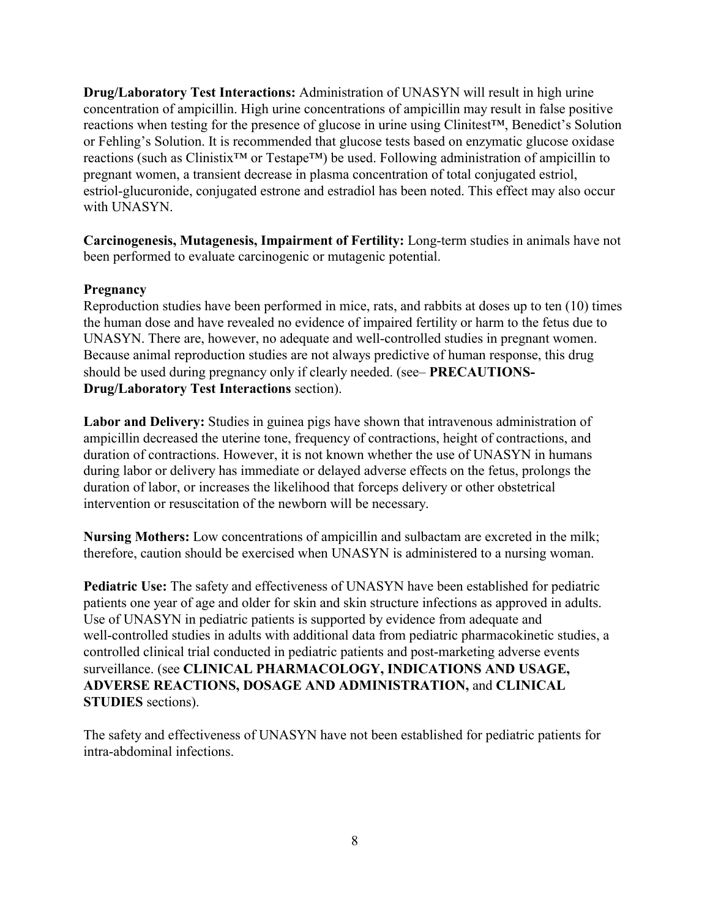**Drug/Laboratory Test Interactions:** Administration of UNASYN will result in high urine concentration of ampicillin. High urine concentrations of ampicillin may result in false positive reactions when testing for the presence of glucose in urine using Clinitest™, Benedict's Solution or Fehling's Solution. It is recommended that glucose tests based on enzymatic glucose oxidase reactions (such as Clinistix™ or Testape™) be used. Following administration of ampicillin to pregnant women, a transient decrease in plasma concentration of total conjugated estriol, estriol-glucuronide, conjugated estrone and estradiol has been noted. This effect may also occur with UNASYN.

**Carcinogenesis, Mutagenesis, Impairment of Fertility:** Long-term studies in animals have not been performed to evaluate carcinogenic or mutagenic potential.

## **Pregnancy**

Reproduction studies have been performed in mice, rats, and rabbits at doses up to ten (10) times the human dose and have revealed no evidence of impaired fertility or harm to the fetus due to UNASYN. There are, however, no adequate and well-controlled studies in pregnant women. Because animal reproduction studies are not always predictive of human response, this drug should be used during pregnancy only if clearly needed. (see– **PRECAUTIONS-Drug/Laboratory Test Interactions** section).

**Labor and Delivery:** Studies in guinea pigs have shown that intravenous administration of ampicillin decreased the uterine tone, frequency of contractions, height of contractions, and duration of contractions. However, it is not known whether the use of UNASYN in humans during labor or delivery has immediate or delayed adverse effects on the fetus, prolongs the duration of labor, or increases the likelihood that forceps delivery or other obstetrical intervention or resuscitation of the newborn will be necessary.

**Nursing Mothers:** Low concentrations of ampicillin and sulbactam are excreted in the milk; therefore, caution should be exercised when UNASYN is administered to a nursing woman.

**Pediatric Use:** The safety and effectiveness of UNASYN have been established for pediatric patients one year of age and older for skin and skin structure infections as approved in adults. Use of UNASYN in pediatric patients is supported by evidence from adequate and well-controlled studies in adults with additional data from pediatric pharmacokinetic studies, a controlled clinical trial conducted in pediatric patients and post-marketing adverse events surveillance. (see **CLINICAL PHARMACOLOGY, INDICATIONS AND USAGE, ADVERSE REACTIONS, DOSAGE AND ADMINISTRATION,** and **CLINICAL STUDIES** sections).

The safety and effectiveness of UNASYN have not been established for pediatric patients for intra-abdominal infections.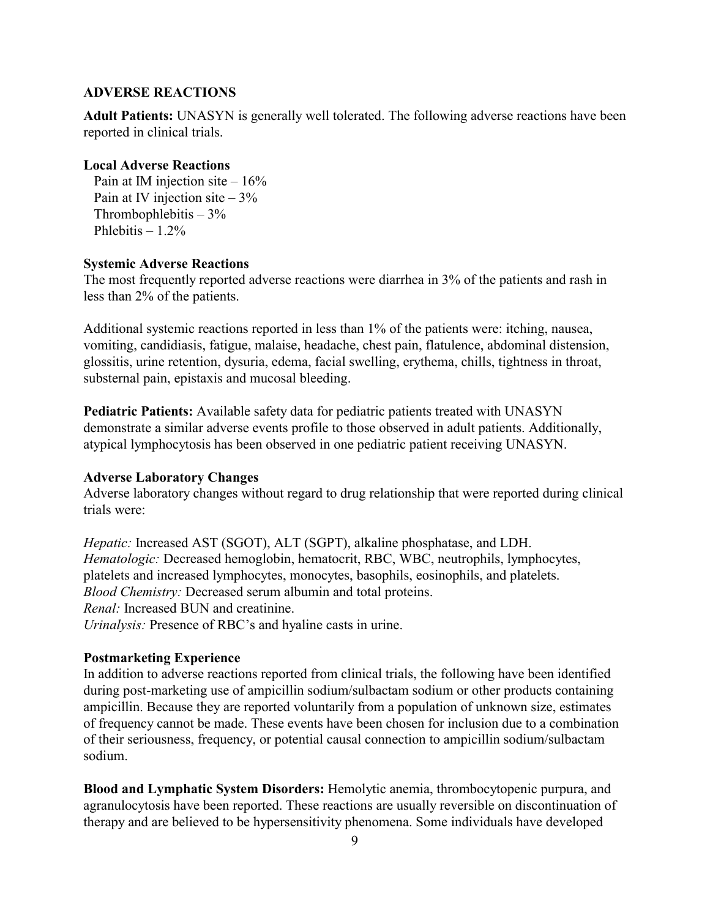#### **ADVERSE REACTIONS**

**Adult Patients:** UNASYN is generally well tolerated. The following adverse reactions have been reported in clinical trials.

#### **Local Adverse Reactions**

Pain at IM injection site  $-16\%$ Pain at IV injection site  $-3\%$ Thrombophlebitis  $-3\%$ Phlebitis  $-1.2%$ 

#### **Systemic Adverse Reactions**

The most frequently reported adverse reactions were diarrhea in 3% of the patients and rash in less than 2% of the patients.

Additional systemic reactions reported in less than 1% of the patients were: itching, nausea, vomiting, candidiasis, fatigue, malaise, headache, chest pain, flatulence, abdominal distension, glossitis, urine retention, dysuria, edema, facial swelling, erythema, chills, tightness in throat, substernal pain, epistaxis and mucosal bleeding.

**Pediatric Patients:** Available safety data for pediatric patients treated with UNASYN demonstrate a similar adverse events profile to those observed in adult patients. Additionally, atypical lymphocytosis has been observed in one pediatric patient receiving UNASYN.

#### **Adverse Laboratory Changes**

Adverse laboratory changes without regard to drug relationship that were reported during clinical trials were:

*Hepatic:* Increased AST (SGOT), ALT (SGPT), alkaline phosphatase, and LDH. *Hematologic:* Decreased hemoglobin, hematocrit, RBC, WBC, neutrophils, lymphocytes, platelets and increased lymphocytes, monocytes, basophils, eosinophils, and platelets. *Blood Chemistry:* Decreased serum albumin and total proteins. *Renal:* Increased BUN and creatinine. *Urinalysis:* Presence of RBC's and hyaline casts in urine.

#### **Postmarketing Experience**

In addition to adverse reactions reported from clinical trials, the following have been identified during post-marketing use of ampicillin sodium/sulbactam sodium or other products containing ampicillin. Because they are reported voluntarily from a population of unknown size, estimates of frequency cannot be made. These events have been chosen for inclusion due to a combination of their seriousness, frequency, or potential causal connection to ampicillin sodium/sulbactam sodium.

**Blood and Lymphatic System Disorders:** Hemolytic anemia, thrombocytopenic purpura, and agranulocytosis have been reported. These reactions are usually reversible on discontinuation of therapy and are believed to be hypersensitivity phenomena. Some individuals have developed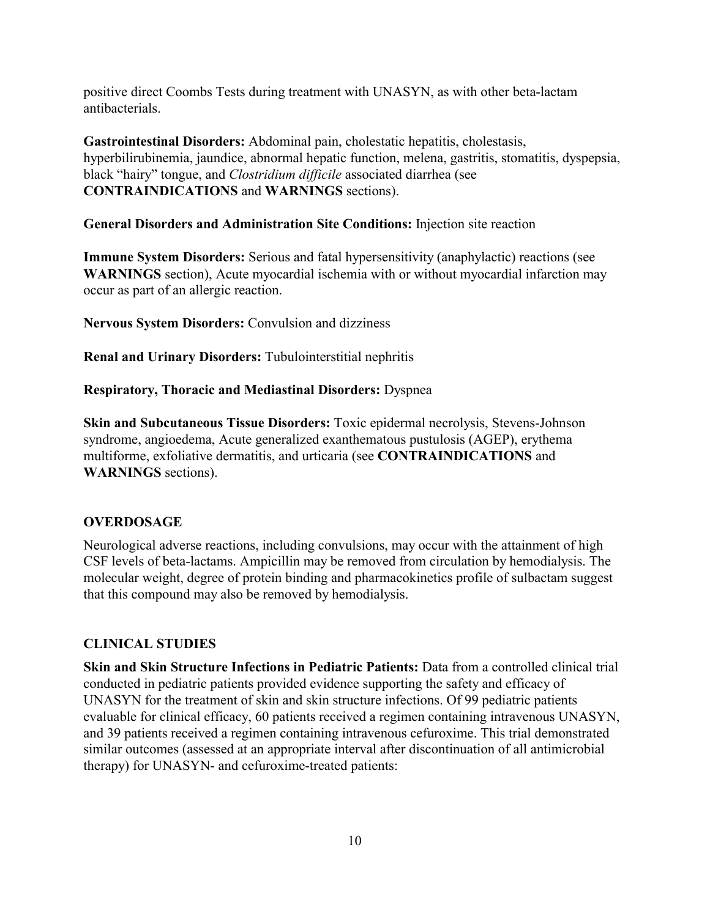positive direct Coombs Tests during treatment with UNASYN, as with other beta-lactam antibacterials.

**Gastrointestinal Disorders:** Abdominal pain, cholestatic hepatitis, cholestasis, hyperbilirubinemia, jaundice, abnormal hepatic function, melena, gastritis, stomatitis, dyspepsia, black "hairy" tongue, and *Clostridium difficile* associated diarrhea (see **CONTRAINDICATIONS** and **WARNINGS** sections).

**General Disorders and Administration Site Conditions:** Injection site reaction

**Immune System Disorders:** Serious and fatal hypersensitivity (anaphylactic) reactions (see **WARNINGS** section), Acute myocardial ischemia with or without myocardial infarction may occur as part of an allergic reaction.

**Nervous System Disorders:** Convulsion and dizziness

**Renal and Urinary Disorders:** Tubulointerstitial nephritis

**Respiratory, Thoracic and Mediastinal Disorders:** Dyspnea

**Skin and Subcutaneous Tissue Disorders:** Toxic epidermal necrolysis, Stevens-Johnson syndrome, angioedema, Acute generalized exanthematous pustulosis (AGEP), erythema multiforme, exfoliative dermatitis, and urticaria (see **CONTRAINDICATIONS** and **WARNINGS** sections).

## **OVERDOSAGE**

Neurological adverse reactions, including convulsions, may occur with the attainment of high CSF levels of beta-lactams. Ampicillin may be removed from circulation by hemodialysis. The molecular weight, degree of protein binding and pharmacokinetics profile of sulbactam suggest that this compound may also be removed by hemodialysis.

## **CLINICAL STUDIES**

**Skin and Skin Structure Infections in Pediatric Patients:** Data from a controlled clinical trial conducted in pediatric patients provided evidence supporting the safety and efficacy of UNASYN for the treatment of skin and skin structure infections. Of 99 pediatric patients evaluable for clinical efficacy, 60 patients received a regimen containing intravenous UNASYN, and 39 patients received a regimen containing intravenous cefuroxime. This trial demonstrated similar outcomes (assessed at an appropriate interval after discontinuation of all antimicrobial therapy) for UNASYN- and cefuroxime-treated patients: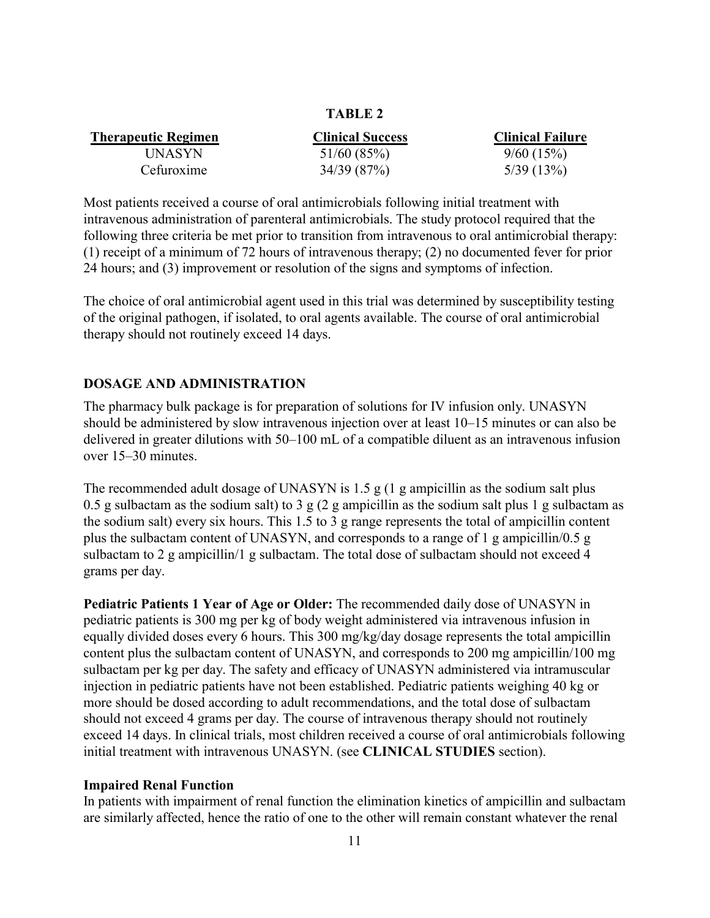| 17 VIJIJIJ <i>2</i>        |                         |                         |
|----------------------------|-------------------------|-------------------------|
| <b>Therapeutic Regimen</b> | <b>Clinical Success</b> | <b>Clinical Failure</b> |
| UNASYN                     | 51/60(85%)              | 9/60(15%)               |
| Cefuroxime                 | 34/39(87%)              | 5/39(13%)               |

**TABLE 2**

Most patients received a course of oral antimicrobials following initial treatment with intravenous administration of parenteral antimicrobials. The study protocol required that the following three criteria be met prior to transition from intravenous to oral antimicrobial therapy: (1) receipt of a minimum of 72 hours of intravenous therapy; (2) no documented fever for prior 24 hours; and (3) improvement or resolution of the signs and symptoms of infection.

The choice of oral antimicrobial agent used in this trial was determined by susceptibility testing of the original pathogen, if isolated, to oral agents available. The course of oral antimicrobial therapy should not routinely exceed 14 days.

## **DOSAGE AND ADMINISTRATION**

The pharmacy bulk package is for preparation of solutions for IV infusion only. UNASYN should be administered by slow intravenous injection over at least 10–15 minutes or can also be delivered in greater dilutions with 50–100 mL of a compatible diluent as an intravenous infusion over 15–30 minutes.

The recommended adult dosage of UNASYN is 1.5 g (1 g ampicillin as the sodium salt plus 0.5 g sulbactam as the sodium salt) to 3 g (2 g ampicillin as the sodium salt plus 1 g sulbactam as the sodium salt) every six hours. This 1.5 to 3 g range represents the total of ampicillin content plus the sulbactam content of UNASYN, and corresponds to a range of 1 g ampicillin/0.5 g sulbactam to 2 g ampicillin/1 g sulbactam. The total dose of sulbactam should not exceed 4 grams per day.

**Pediatric Patients 1 Year of Age or Older:** The recommended daily dose of UNASYN in pediatric patients is 300 mg per kg of body weight administered via intravenous infusion in equally divided doses every 6 hours. This 300 mg/kg/day dosage represents the total ampicillin content plus the sulbactam content of UNASYN, and corresponds to 200 mg ampicillin/100 mg sulbactam per kg per day. The safety and efficacy of UNASYN administered via intramuscular injection in pediatric patients have not been established. Pediatric patients weighing 40 kg or more should be dosed according to adult recommendations, and the total dose of sulbactam should not exceed 4 grams per day. The course of intravenous therapy should not routinely exceed 14 days. In clinical trials, most children received a course of oral antimicrobials following initial treatment with intravenous UNASYN. (see **CLINICAL STUDIES** section).

#### **Impaired Renal Function**

In patients with impairment of renal function the elimination kinetics of ampicillin and sulbactam are similarly affected, hence the ratio of one to the other will remain constant whatever the renal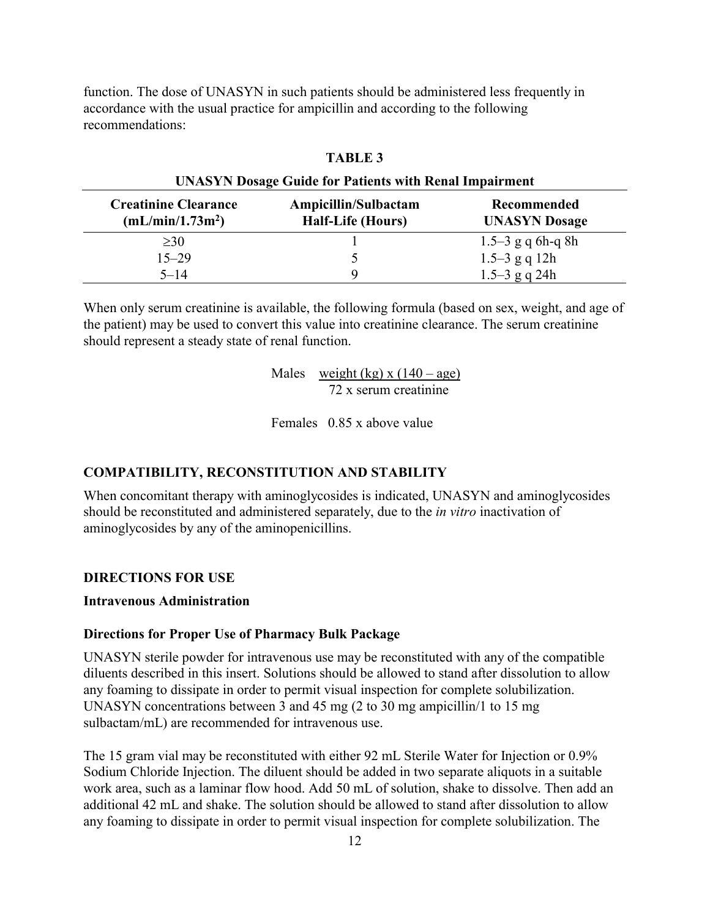function. The dose of UNASYN in such patients should be administered less frequently in accordance with the usual practice for ampicillin and according to the following recommendations:

| <b>UNASYN Dosage Guide for Patients with Renal Impairment</b> |                                                  |                                     |
|---------------------------------------------------------------|--------------------------------------------------|-------------------------------------|
| <b>Creatinine Clearance</b><br>(mL/min/1.73m <sup>2</sup> )   | Ampicillin/Sulbactam<br><b>Half-Life (Hours)</b> | Recommended<br><b>UNASYN</b> Dosage |
| $\geq 30$                                                     |                                                  | $1.5-3$ g q 6h-q 8h                 |
| $15 - 29$                                                     |                                                  | 1.5–3 g q 12h                       |
| $5 - 14$                                                      | Q                                                | $1.5 - 3$ g q 24h                   |

|  | ABLI | Ľ۷ |  |
|--|------|----|--|
|--|------|----|--|

When only serum creatinine is available, the following formula (based on sex, weight, and age of the patient) may be used to convert this value into creatinine clearance. The serum creatinine should represent a steady state of renal function.

> Males weight (kg) x  $(140 - age)$ 72 x serum creatinine

Females 0.85 x above value

#### **COMPATIBILITY, RECONSTITUTION AND STABILITY**

When concomitant therapy with aminoglycosides is indicated, UNASYN and aminoglycosides should be reconstituted and administered separately, due to the *in vitro* inactivation of aminoglycosides by any of the aminopenicillins.

#### **DIRECTIONS FOR USE**

#### **Intravenous Administration**

#### **Directions for Proper Use of Pharmacy Bulk Package**

UNASYN sterile powder for intravenous use may be reconstituted with any of the compatible diluents described in this insert. Solutions should be allowed to stand after dissolution to allow any foaming to dissipate in order to permit visual inspection for complete solubilization. UNASYN concentrations between 3 and 45 mg (2 to 30 mg ampicillin/1 to 15 mg sulbactam/mL) are recommended for intravenous use.

The 15 gram vial may be reconstituted with either 92 mL Sterile Water for Injection or 0.9% Sodium Chloride Injection. The diluent should be added in two separate aliquots in a suitable work area, such as a laminar flow hood. Add 50 mL of solution, shake to dissolve. Then add an additional 42 mL and shake. The solution should be allowed to stand after dissolution to allow any foaming to dissipate in order to permit visual inspection for complete solubilization. The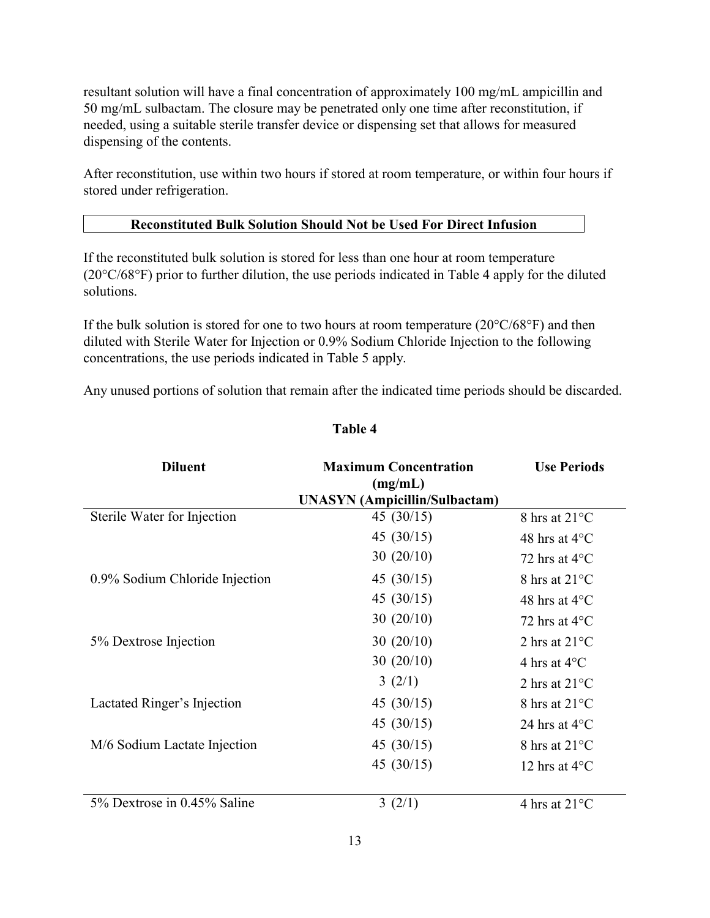resultant solution will have a final concentration of approximately 100 mg/mL ampicillin and 50 mg/mL sulbactam. The closure may be penetrated only one time after reconstitution, if needed, using a suitable sterile transfer device or dispensing set that allows for measured dispensing of the contents.

After reconstitution, use within two hours if stored at room temperature, or within four hours if stored under refrigeration.

#### **Reconstituted Bulk Solution Should Not be Used For Direct Infusion**

If the reconstituted bulk solution is stored for less than one hour at room temperature  $(20^{\circ}C/68^{\circ}F)$  prior to further dilution, the use periods indicated in Table 4 apply for the diluted solutions.

If the bulk solution is stored for one to two hours at room temperature  $(20^{\circ}C/68^{\circ}F)$  and then diluted with Sterile Water for Injection or 0.9% Sodium Chloride Injection to the following concentrations, the use periods indicated in Table 5 apply.

Any unused portions of solution that remain after the indicated time periods should be discarded.

| <b>Diluent</b>                 | <b>Maximum Concentration</b><br>(mg/mL) | <b>Use Periods</b>      |
|--------------------------------|-----------------------------------------|-------------------------|
|                                | <b>UNASYN</b> (Ampicillin/Sulbactam)    |                         |
| Sterile Water for Injection    | 45 $(30/15)$                            | 8 hrs at $21^{\circ}$ C |
|                                | 45 $(30/15)$                            | 48 hrs at $4^{\circ}$ C |
|                                | 30(20/10)                               | 72 hrs at $4^{\circ}$ C |
| 0.9% Sodium Chloride Injection | 45 $(30/15)$                            | 8 hrs at $21^{\circ}$ C |
|                                | 45 $(30/15)$                            | 48 hrs at $4^{\circ}$ C |
|                                | 30(20/10)                               | 72 hrs at $4^{\circ}$ C |
| 5% Dextrose Injection          | 30(20/10)                               | 2 hrs at $21^{\circ}$ C |
|                                | 30(20/10)                               | 4 hrs at $4^{\circ}$ C  |
|                                | 3(2/1)                                  | 2 hrs at $21^{\circ}$ C |
| Lactated Ringer's Injection    | 45 $(30/15)$                            | 8 hrs at 21°C           |
|                                | 45 $(30/15)$                            | 24 hrs at $4^{\circ}$ C |
| M/6 Sodium Lactate Injection   | 45 $(30/15)$                            | 8 hrs at 21°C           |
|                                | 45 $(30/15)$                            | 12 hrs at $4^{\circ}$ C |
| 5% Dextrose in 0.45% Saline    | 3(2/1)                                  | 4 hrs at $21^{\circ}$ C |
|                                |                                         |                         |

## **Table 4**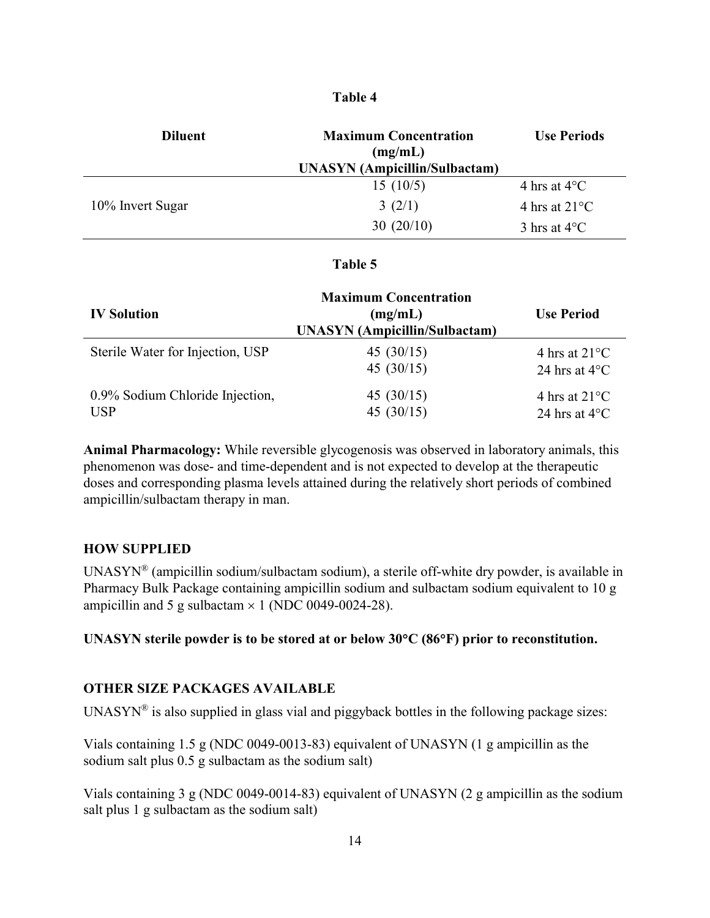| anı<br>æ |  |
|----------|--|
|----------|--|

| <b>Diluent</b>   | <b>Maximum Concentration</b><br>(mg/mL) | <b>Use Periods</b>      |
|------------------|-----------------------------------------|-------------------------|
|                  | <b>UNASYN</b> (Ampicillin/Sulbactam)    |                         |
|                  | 15(10/5)                                | 4 hrs at $4^{\circ}$ C  |
| 10% Invert Sugar | 3(2/1)                                  | 4 hrs at $21^{\circ}$ C |
|                  | 30(20/10)                               | 3 hrs at $4^{\circ}$ C  |

#### **Table 5**

| <b>IV Solution</b>                            | <b>Maximum Concentration</b><br>(mg/mL)<br><b>UNASYN</b> (Ampicillin/Sulbactam) | <b>Use Period</b>                                  |
|-----------------------------------------------|---------------------------------------------------------------------------------|----------------------------------------------------|
| Sterile Water for Injection, USP              | 45 $(30/15)$<br>45 $(30/15)$                                                    | 4 hrs at $21^{\circ}$ C<br>24 hrs at $4^{\circ}$ C |
| 0.9% Sodium Chloride Injection,<br><b>USP</b> | 45 $(30/15)$<br>45 $(30/15)$                                                    | 4 hrs at $21^{\circ}$ C<br>24 hrs at $4^{\circ}$ C |

**Animal Pharmacology:** While reversible glycogenosis was observed in laboratory animals, this phenomenon was dose- and time-dependent and is not expected to develop at the therapeutic doses and corresponding plasma levels attained during the relatively short periods of combined ampicillin/sulbactam therapy in man.

# **HOW SUPPLIED**

UNASYN® (ampicillin sodium/sulbactam sodium), a sterile off-white dry powder, is available in Pharmacy Bulk Package containing ampicillin sodium and sulbactam sodium equivalent to 10 g ampicillin and 5 g sulbactam  $\times$  1 (NDC 0049-0024-28).

## **UNASYN sterile powder is to be stored at or below 30C (86F) prior to reconstitution.**

# **OTHER SIZE PACKAGES AVAILABLE**

UNASYN<sup>®</sup> is also supplied in glass vial and piggyback bottles in the following package sizes:

Vials containing 1.5 g (NDC 0049-0013-83) equivalent of UNASYN (1 g ampicillin as the sodium salt plus 0.5 g sulbactam as the sodium salt)

Vials containing 3 g (NDC 0049-0014-83) equivalent of UNASYN (2 g ampicillin as the sodium salt plus 1 g sulbactam as the sodium salt)